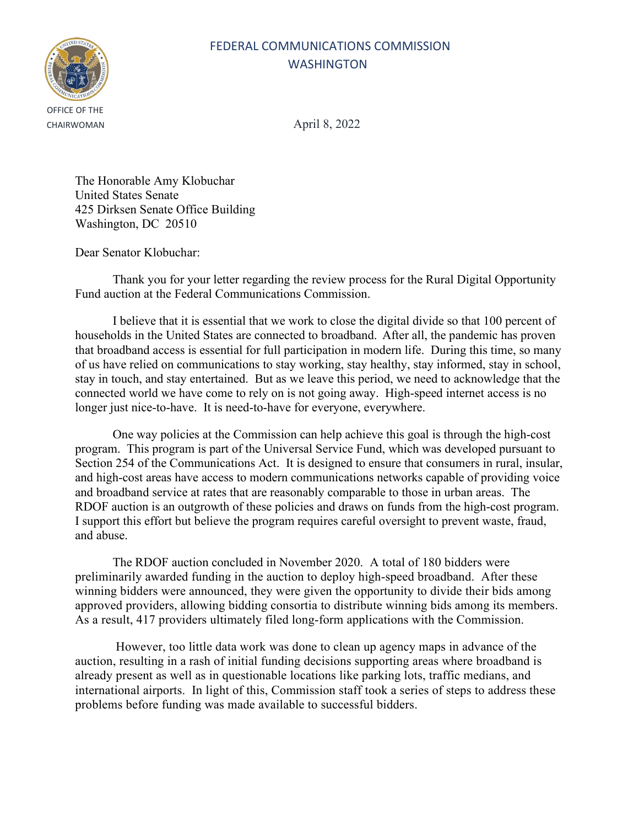## FEDERAL COMMUNICATIONS COMMISSION WASHINGTON



CHAIRWOMAN April 8, 2022

The Honorable Amy Klobuchar United States Senate 425 Dirksen Senate Office Building Washington, DC 20510

Dear Senator Klobuchar:

Thank you for your letter regarding the review process for the Rural Digital Opportunity Fund auction at the Federal Communications Commission.

I believe that it is essential that we work to close the digital divide so that 100 percent of households in the United States are connected to broadband. After all, the pandemic has proven that broadband access is essential for full participation in modern life. During this time, so many of us have relied on communications to stay working, stay healthy, stay informed, stay in school, stay in touch, and stay entertained. But as we leave this period, we need to acknowledge that the connected world we have come to rely on is not going away. High-speed internet access is no longer just nice-to-have. It is need-to-have for everyone, everywhere.

One way policies at the Commission can help achieve this goal is through the high-cost program. This program is part of the Universal Service Fund, which was developed pursuant to Section 254 of the Communications Act. It is designed to ensure that consumers in rural, insular, and high-cost areas have access to modern communications networks capable of providing voice and broadband service at rates that are reasonably comparable to those in urban areas. The RDOF auction is an outgrowth of these policies and draws on funds from the high-cost program. I support this effort but believe the program requires careful oversight to prevent waste, fraud, and abuse.

The RDOF auction concluded in November 2020. A total of 180 bidders were preliminarily awarded funding in the auction to deploy high-speed broadband. After these winning bidders were announced, they were given the opportunity to divide their bids among approved providers, allowing bidding consortia to distribute winning bids among its members. As a result, 417 providers ultimately filed long-form applications with the Commission.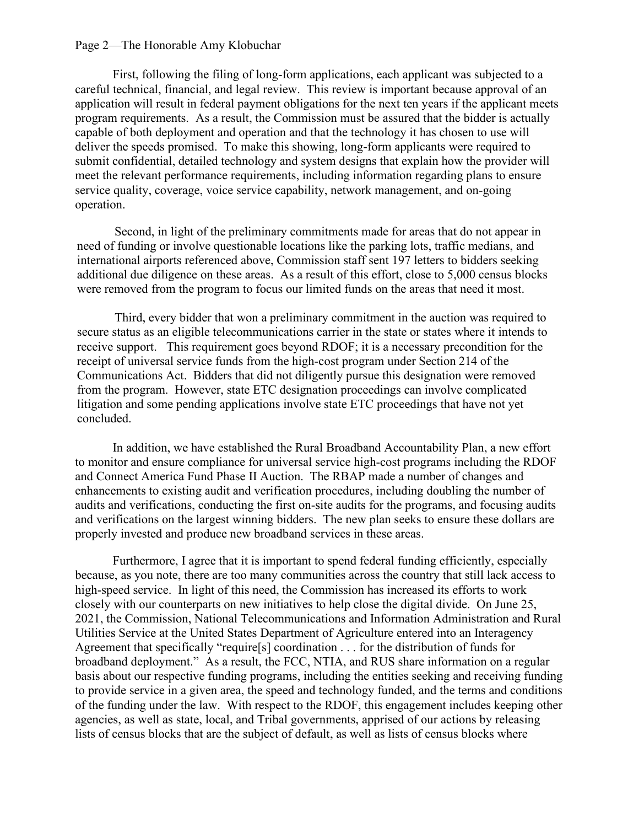#### Page 2—The Honorable Amy Klobuchar

First, following the filing of long-form applications, each applicant was subjected to a careful technical, financial, and legal review. This review is important because approval of an application will result in federal payment obligations for the next ten years if the applicant meets program requirements. As a result, the Commission must be assured that the bidder is actually capable of both deployment and operation and that the technology it has chosen to use will deliver the speeds promised. To make this showing, long-form applicants were required to submit confidential, detailed technology and system designs that explain how the provider will meet the relevant performance requirements, including information regarding plans to ensure service quality, coverage, voice service capability, network management, and on-going operation.

Second, in light of the preliminary commitments made for areas that do not appear in need of funding or involve questionable locations like the parking lots, traffic medians, and international airports referenced above, Commission staff sent 197 letters to bidders seeking additional due diligence on these areas. As a result of this effort, close to 5,000 census blocks were removed from the program to focus our limited funds on the areas that need it most.

Third, every bidder that won a preliminary commitment in the auction was required to secure status as an eligible telecommunications carrier in the state or states where it intends to receive support. This requirement goes beyond RDOF; it is a necessary precondition for the receipt of universal service funds from the high-cost program under Section 214 of the Communications Act. Bidders that did not diligently pursue this designation were removed from the program. However, state ETC designation proceedings can involve complicated litigation and some pending applications involve state ETC proceedings that have not yet concluded.

In addition, we have established the Rural Broadband Accountability Plan, a new effort to monitor and ensure compliance for universal service high-cost programs including the RDOF and Connect America Fund Phase II Auction. The RBAP made a number of changes and enhancements to existing audit and verification procedures, including doubling the number of audits and verifications, conducting the first on-site audits for the programs, and focusing audits and verifications on the largest winning bidders. The new plan seeks to ensure these dollars are properly invested and produce new broadband services in these areas.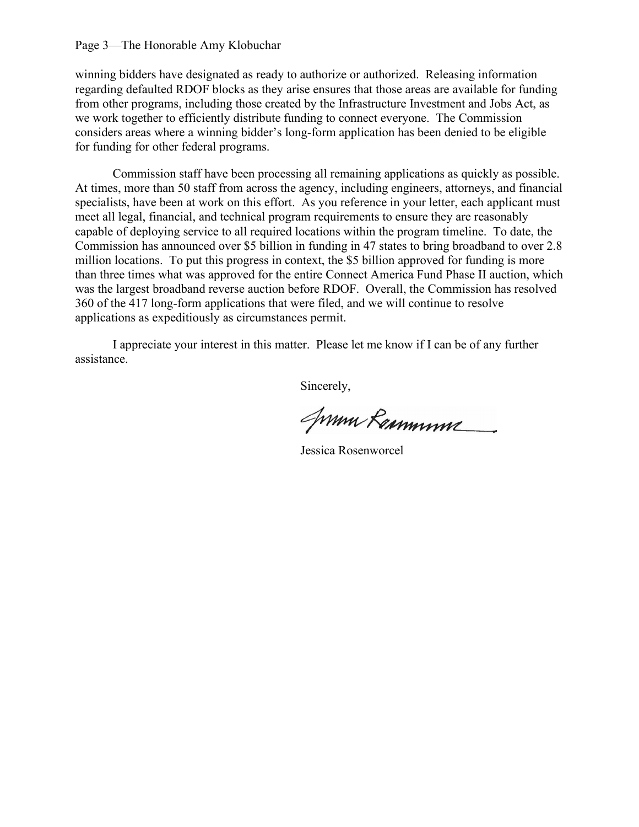#### Page 3—The Honorable Amy Klobuchar

winning bidders have designated as ready to authorize or authorized. Releasing information regarding defaulted RDOF blocks as they arise ensures that those areas are available for funding from other programs, including those created by the Infrastructure Investment and Jobs Act, as we work together to efficiently distribute funding to connect everyone. The Commission considers areas where a winning bidder's long-form application has been denied to be eligible for funding for other federal programs.

Commission staff have been processing all remaining applications as quickly as possible. At times, more than 50 staff from across the agency, including engineers, attorneys, and financial specialists, have been at work on this effort. As you reference in your letter, each applicant must meet all legal, financial, and technical program requirements to ensure they are reasonably capable of deploying service to all required locations within the program timeline. To date, the Commission has announced over \$5 billion in funding in 47 states to bring broadband to over 2.8 million locations. To put this progress in context, the \$5 billion approved for funding is more than three times what was approved for the entire Connect America Fund Phase II auction, which was the largest broadband reverse auction before RDOF. Overall, the Commission has resolved 360 of the 417 long-form applications that were filed, and we will continue to resolve applications as expeditiously as circumstances permit.

I appreciate your interest in this matter. Please let me know if I can be of any further assistance.

Jumm Remmum

Jessica Rosenworcel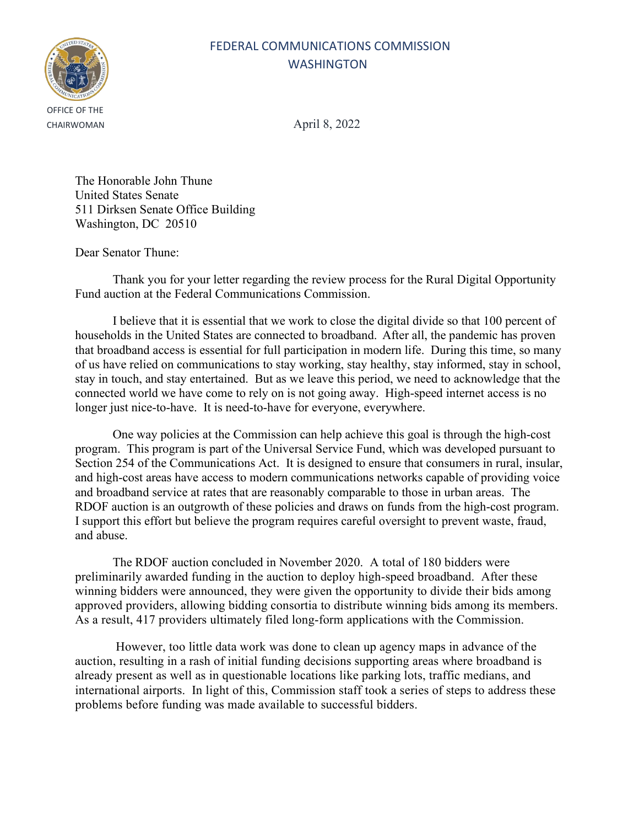# OFFICE OF THE

### FEDERAL COMMUNICATIONS COMMISSION WASHINGTON

CHAIRWOMAN April 8, 2022

The Honorable John Thune United States Senate 511 Dirksen Senate Office Building Washington, DC 20510

Dear Senator Thune:

Thank you for your letter regarding the review process for the Rural Digital Opportunity Fund auction at the Federal Communications Commission.

I believe that it is essential that we work to close the digital divide so that 100 percent of households in the United States are connected to broadband. After all, the pandemic has proven that broadband access is essential for full participation in modern life. During this time, so many of us have relied on communications to stay working, stay healthy, stay informed, stay in school, stay in touch, and stay entertained. But as we leave this period, we need to acknowledge that the connected world we have come to rely on is not going away. High-speed internet access is no longer just nice-to-have. It is need-to-have for everyone, everywhere.

One way policies at the Commission can help achieve this goal is through the high-cost program. This program is part of the Universal Service Fund, which was developed pursuant to Section 254 of the Communications Act. It is designed to ensure that consumers in rural, insular, and high-cost areas have access to modern communications networks capable of providing voice and broadband service at rates that are reasonably comparable to those in urban areas. The RDOF auction is an outgrowth of these policies and draws on funds from the high-cost program. I support this effort but believe the program requires careful oversight to prevent waste, fraud, and abuse.

The RDOF auction concluded in November 2020. A total of 180 bidders were preliminarily awarded funding in the auction to deploy high-speed broadband. After these winning bidders were announced, they were given the opportunity to divide their bids among approved providers, allowing bidding consortia to distribute winning bids among its members. As a result, 417 providers ultimately filed long-form applications with the Commission.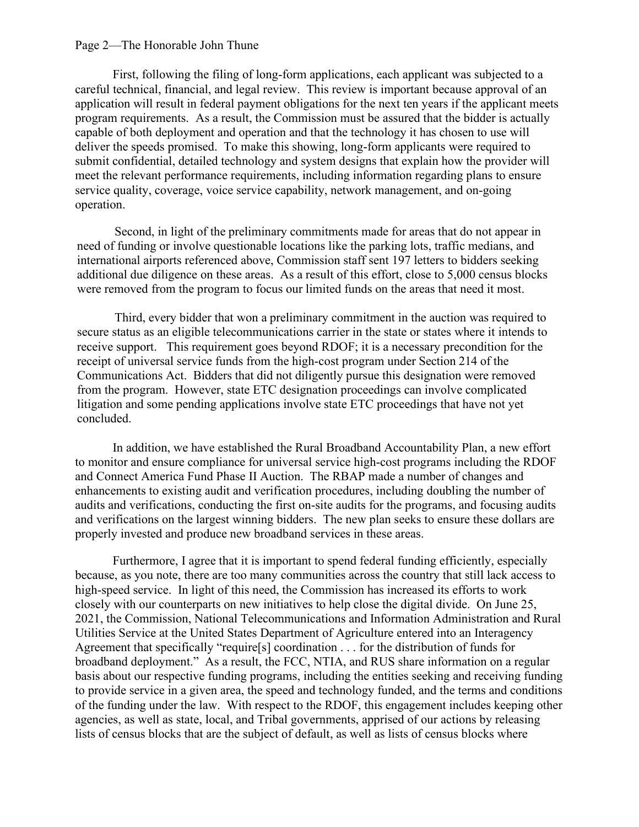#### Page 2—The Honorable John Thune

First, following the filing of long-form applications, each applicant was subjected to a careful technical, financial, and legal review. This review is important because approval of an application will result in federal payment obligations for the next ten years if the applicant meets program requirements. As a result, the Commission must be assured that the bidder is actually capable of both deployment and operation and that the technology it has chosen to use will deliver the speeds promised. To make this showing, long-form applicants were required to submit confidential, detailed technology and system designs that explain how the provider will meet the relevant performance requirements, including information regarding plans to ensure service quality, coverage, voice service capability, network management, and on-going operation.

Second, in light of the preliminary commitments made for areas that do not appear in need of funding or involve questionable locations like the parking lots, traffic medians, and international airports referenced above, Commission staff sent 197 letters to bidders seeking additional due diligence on these areas. As a result of this effort, close to 5,000 census blocks were removed from the program to focus our limited funds on the areas that need it most.

Third, every bidder that won a preliminary commitment in the auction was required to secure status as an eligible telecommunications carrier in the state or states where it intends to receive support. This requirement goes beyond RDOF; it is a necessary precondition for the receipt of universal service funds from the high-cost program under Section 214 of the Communications Act. Bidders that did not diligently pursue this designation were removed from the program. However, state ETC designation proceedings can involve complicated litigation and some pending applications involve state ETC proceedings that have not yet concluded.

In addition, we have established the Rural Broadband Accountability Plan, a new effort to monitor and ensure compliance for universal service high-cost programs including the RDOF and Connect America Fund Phase II Auction. The RBAP made a number of changes and enhancements to existing audit and verification procedures, including doubling the number of audits and verifications, conducting the first on-site audits for the programs, and focusing audits and verifications on the largest winning bidders. The new plan seeks to ensure these dollars are properly invested and produce new broadband services in these areas.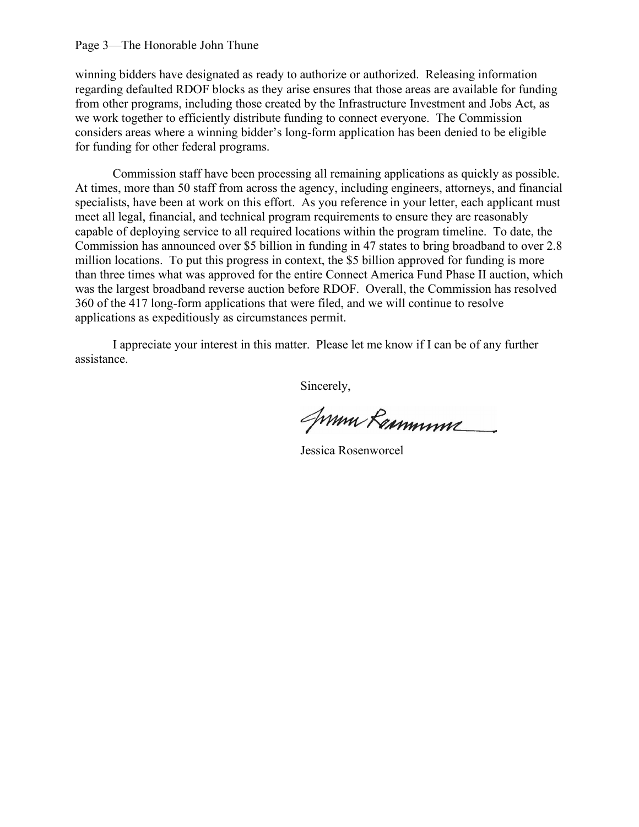#### Page 3—The Honorable John Thune

winning bidders have designated as ready to authorize or authorized. Releasing information regarding defaulted RDOF blocks as they arise ensures that those areas are available for funding from other programs, including those created by the Infrastructure Investment and Jobs Act, as we work together to efficiently distribute funding to connect everyone. The Commission considers areas where a winning bidder's long-form application has been denied to be eligible for funding for other federal programs.

Commission staff have been processing all remaining applications as quickly as possible. At times, more than 50 staff from across the agency, including engineers, attorneys, and financial specialists, have been at work on this effort. As you reference in your letter, each applicant must meet all legal, financial, and technical program requirements to ensure they are reasonably capable of deploying service to all required locations within the program timeline. To date, the Commission has announced over \$5 billion in funding in 47 states to bring broadband to over 2.8 million locations. To put this progress in context, the \$5 billion approved for funding is more than three times what was approved for the entire Connect America Fund Phase II auction, which was the largest broadband reverse auction before RDOF. Overall, the Commission has resolved 360 of the 417 long-form applications that were filed, and we will continue to resolve applications as expeditiously as circumstances permit.

I appreciate your interest in this matter. Please let me know if I can be of any further assistance.

Jumm Remmum

Jessica Rosenworcel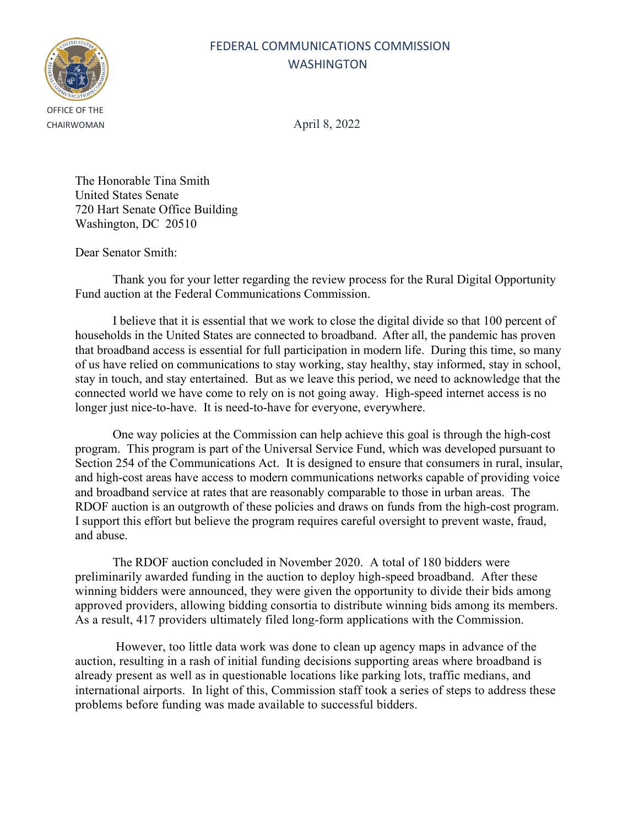# OFFICE OF THE

### FEDERAL COMMUNICATIONS COMMISSION WASHINGTON

CHAIRWOMAN April 8, 2022

The Honorable Tina Smith United States Senate 720 Hart Senate Office Building Washington, DC 20510

Dear Senator Smith:

Thank you for your letter regarding the review process for the Rural Digital Opportunity Fund auction at the Federal Communications Commission.

I believe that it is essential that we work to close the digital divide so that 100 percent of households in the United States are connected to broadband. After all, the pandemic has proven that broadband access is essential for full participation in modern life. During this time, so many of us have relied on communications to stay working, stay healthy, stay informed, stay in school, stay in touch, and stay entertained. But as we leave this period, we need to acknowledge that the connected world we have come to rely on is not going away. High-speed internet access is no longer just nice-to-have. It is need-to-have for everyone, everywhere.

One way policies at the Commission can help achieve this goal is through the high-cost program. This program is part of the Universal Service Fund, which was developed pursuant to Section 254 of the Communications Act. It is designed to ensure that consumers in rural, insular, and high-cost areas have access to modern communications networks capable of providing voice and broadband service at rates that are reasonably comparable to those in urban areas. The RDOF auction is an outgrowth of these policies and draws on funds from the high-cost program. I support this effort but believe the program requires careful oversight to prevent waste, fraud, and abuse.

The RDOF auction concluded in November 2020. A total of 180 bidders were preliminarily awarded funding in the auction to deploy high-speed broadband. After these winning bidders were announced, they were given the opportunity to divide their bids among approved providers, allowing bidding consortia to distribute winning bids among its members. As a result, 417 providers ultimately filed long-form applications with the Commission.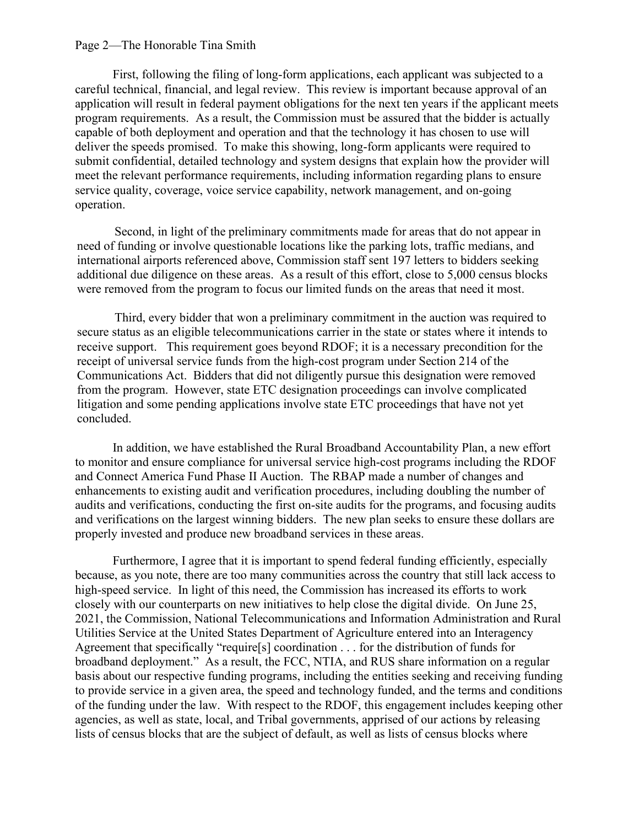#### Page 2—The Honorable Tina Smith

First, following the filing of long-form applications, each applicant was subjected to a careful technical, financial, and legal review. This review is important because approval of an application will result in federal payment obligations for the next ten years if the applicant meets program requirements. As a result, the Commission must be assured that the bidder is actually capable of both deployment and operation and that the technology it has chosen to use will deliver the speeds promised. To make this showing, long-form applicants were required to submit confidential, detailed technology and system designs that explain how the provider will meet the relevant performance requirements, including information regarding plans to ensure service quality, coverage, voice service capability, network management, and on-going operation.

Second, in light of the preliminary commitments made for areas that do not appear in need of funding or involve questionable locations like the parking lots, traffic medians, and international airports referenced above, Commission staff sent 197 letters to bidders seeking additional due diligence on these areas. As a result of this effort, close to 5,000 census blocks were removed from the program to focus our limited funds on the areas that need it most.

Third, every bidder that won a preliminary commitment in the auction was required to secure status as an eligible telecommunications carrier in the state or states where it intends to receive support. This requirement goes beyond RDOF; it is a necessary precondition for the receipt of universal service funds from the high-cost program under Section 214 of the Communications Act. Bidders that did not diligently pursue this designation were removed from the program. However, state ETC designation proceedings can involve complicated litigation and some pending applications involve state ETC proceedings that have not yet concluded.

In addition, we have established the Rural Broadband Accountability Plan, a new effort to monitor and ensure compliance for universal service high-cost programs including the RDOF and Connect America Fund Phase II Auction. The RBAP made a number of changes and enhancements to existing audit and verification procedures, including doubling the number of audits and verifications, conducting the first on-site audits for the programs, and focusing audits and verifications on the largest winning bidders. The new plan seeks to ensure these dollars are properly invested and produce new broadband services in these areas.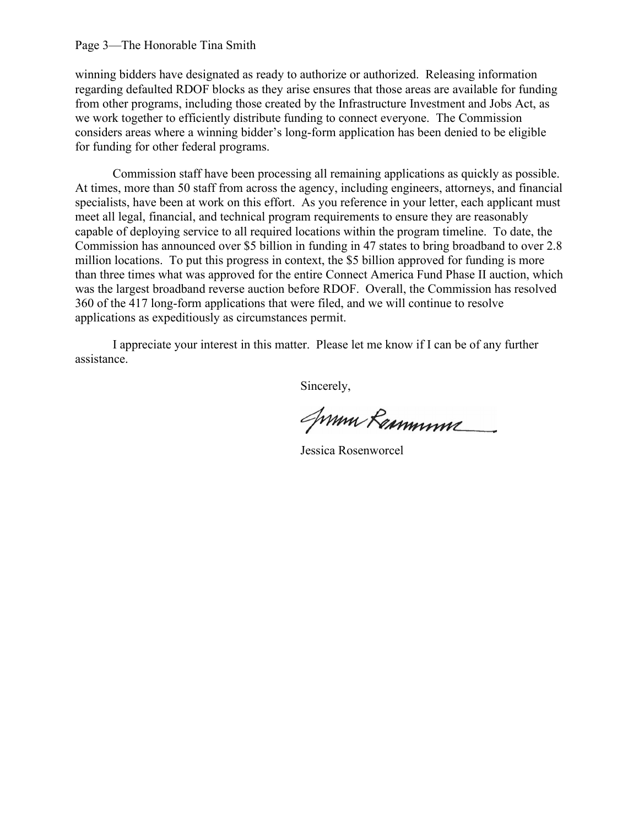#### Page 3—The Honorable Tina Smith

winning bidders have designated as ready to authorize or authorized. Releasing information regarding defaulted RDOF blocks as they arise ensures that those areas are available for funding from other programs, including those created by the Infrastructure Investment and Jobs Act, as we work together to efficiently distribute funding to connect everyone. The Commission considers areas where a winning bidder's long-form application has been denied to be eligible for funding for other federal programs.

Commission staff have been processing all remaining applications as quickly as possible. At times, more than 50 staff from across the agency, including engineers, attorneys, and financial specialists, have been at work on this effort. As you reference in your letter, each applicant must meet all legal, financial, and technical program requirements to ensure they are reasonably capable of deploying service to all required locations within the program timeline. To date, the Commission has announced over \$5 billion in funding in 47 states to bring broadband to over 2.8 million locations. To put this progress in context, the \$5 billion approved for funding is more than three times what was approved for the entire Connect America Fund Phase II auction, which was the largest broadband reverse auction before RDOF. Overall, the Commission has resolved 360 of the 417 long-form applications that were filed, and we will continue to resolve applications as expeditiously as circumstances permit.

I appreciate your interest in this matter. Please let me know if I can be of any further assistance.

Jumm Remmum

Jessica Rosenworcel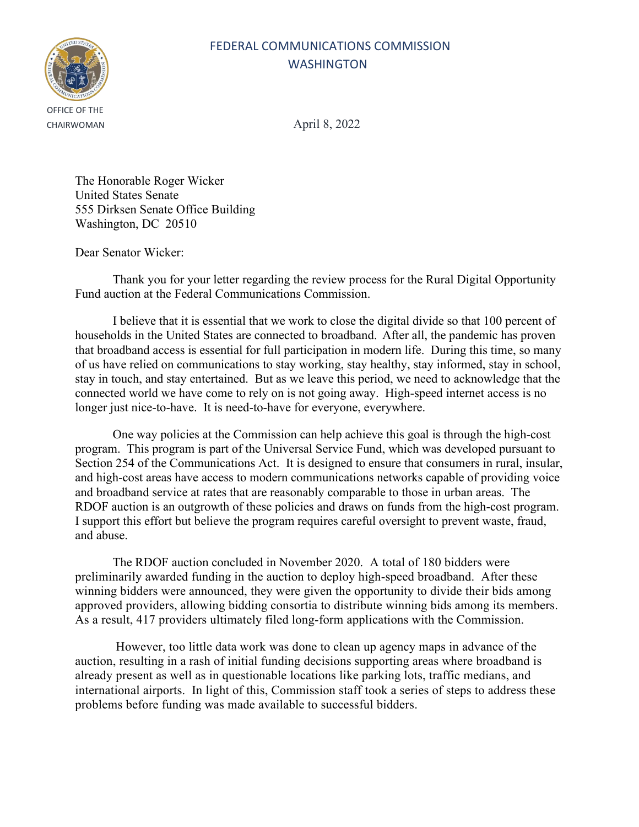## FEDERAL COMMUNICATIONS COMMISSION WASHINGTON



CHAIRWOMAN April 8, 2022

The Honorable Roger Wicker United States Senate 555 Dirksen Senate Office Building Washington, DC 20510

Dear Senator Wicker:

Thank you for your letter regarding the review process for the Rural Digital Opportunity Fund auction at the Federal Communications Commission.

I believe that it is essential that we work to close the digital divide so that 100 percent of households in the United States are connected to broadband. After all, the pandemic has proven that broadband access is essential for full participation in modern life. During this time, so many of us have relied on communications to stay working, stay healthy, stay informed, stay in school, stay in touch, and stay entertained. But as we leave this period, we need to acknowledge that the connected world we have come to rely on is not going away. High-speed internet access is no longer just nice-to-have. It is need-to-have for everyone, everywhere.

One way policies at the Commission can help achieve this goal is through the high-cost program. This program is part of the Universal Service Fund, which was developed pursuant to Section 254 of the Communications Act. It is designed to ensure that consumers in rural, insular, and high-cost areas have access to modern communications networks capable of providing voice and broadband service at rates that are reasonably comparable to those in urban areas. The RDOF auction is an outgrowth of these policies and draws on funds from the high-cost program. I support this effort but believe the program requires careful oversight to prevent waste, fraud, and abuse.

The RDOF auction concluded in November 2020. A total of 180 bidders were preliminarily awarded funding in the auction to deploy high-speed broadband. After these winning bidders were announced, they were given the opportunity to divide their bids among approved providers, allowing bidding consortia to distribute winning bids among its members. As a result, 417 providers ultimately filed long-form applications with the Commission.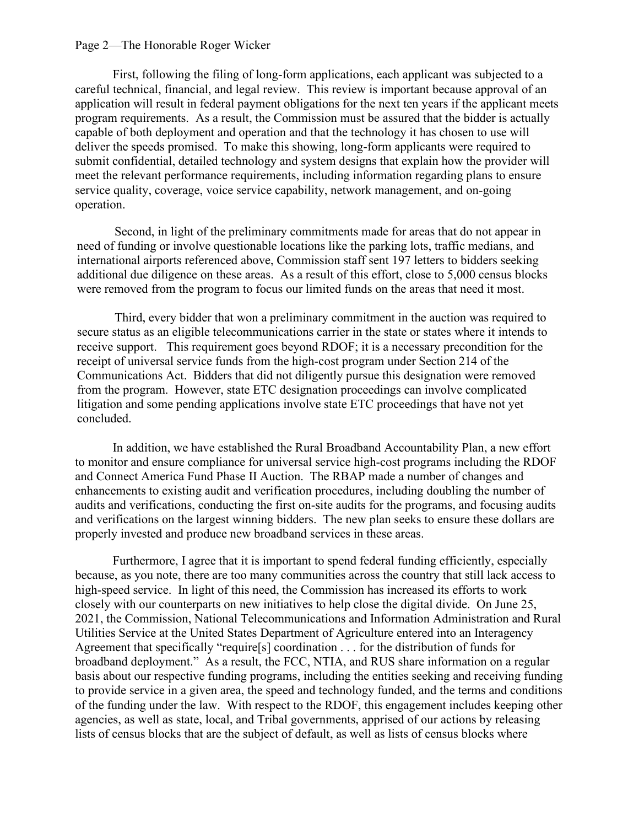#### Page 2—The Honorable Roger Wicker

First, following the filing of long-form applications, each applicant was subjected to a careful technical, financial, and legal review. This review is important because approval of an application will result in federal payment obligations for the next ten years if the applicant meets program requirements. As a result, the Commission must be assured that the bidder is actually capable of both deployment and operation and that the technology it has chosen to use will deliver the speeds promised. To make this showing, long-form applicants were required to submit confidential, detailed technology and system designs that explain how the provider will meet the relevant performance requirements, including information regarding plans to ensure service quality, coverage, voice service capability, network management, and on-going operation.

Second, in light of the preliminary commitments made for areas that do not appear in need of funding or involve questionable locations like the parking lots, traffic medians, and international airports referenced above, Commission staff sent 197 letters to bidders seeking additional due diligence on these areas. As a result of this effort, close to 5,000 census blocks were removed from the program to focus our limited funds on the areas that need it most.

Third, every bidder that won a preliminary commitment in the auction was required to secure status as an eligible telecommunications carrier in the state or states where it intends to receive support. This requirement goes beyond RDOF; it is a necessary precondition for the receipt of universal service funds from the high-cost program under Section 214 of the Communications Act. Bidders that did not diligently pursue this designation were removed from the program. However, state ETC designation proceedings can involve complicated litigation and some pending applications involve state ETC proceedings that have not yet concluded.

In addition, we have established the Rural Broadband Accountability Plan, a new effort to monitor and ensure compliance for universal service high-cost programs including the RDOF and Connect America Fund Phase II Auction. The RBAP made a number of changes and enhancements to existing audit and verification procedures, including doubling the number of audits and verifications, conducting the first on-site audits for the programs, and focusing audits and verifications on the largest winning bidders. The new plan seeks to ensure these dollars are properly invested and produce new broadband services in these areas.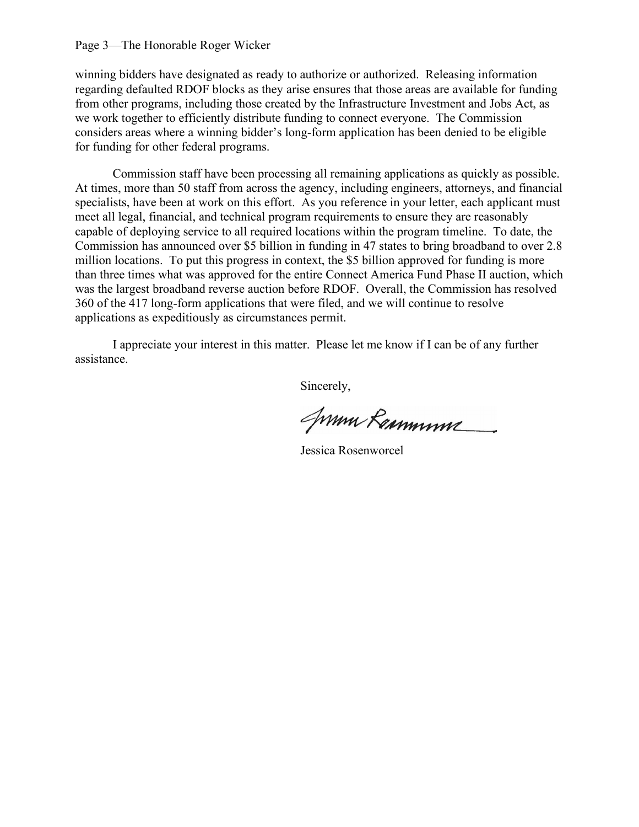#### Page 3—The Honorable Roger Wicker

winning bidders have designated as ready to authorize or authorized. Releasing information regarding defaulted RDOF blocks as they arise ensures that those areas are available for funding from other programs, including those created by the Infrastructure Investment and Jobs Act, as we work together to efficiently distribute funding to connect everyone. The Commission considers areas where a winning bidder's long-form application has been denied to be eligible for funding for other federal programs.

Commission staff have been processing all remaining applications as quickly as possible. At times, more than 50 staff from across the agency, including engineers, attorneys, and financial specialists, have been at work on this effort. As you reference in your letter, each applicant must meet all legal, financial, and technical program requirements to ensure they are reasonably capable of deploying service to all required locations within the program timeline. To date, the Commission has announced over \$5 billion in funding in 47 states to bring broadband to over 2.8 million locations. To put this progress in context, the \$5 billion approved for funding is more than three times what was approved for the entire Connect America Fund Phase II auction, which was the largest broadband reverse auction before RDOF. Overall, the Commission has resolved 360 of the 417 long-form applications that were filed, and we will continue to resolve applications as expeditiously as circumstances permit.

I appreciate your interest in this matter. Please let me know if I can be of any further assistance.

Jumm Remmum

Jessica Rosenworcel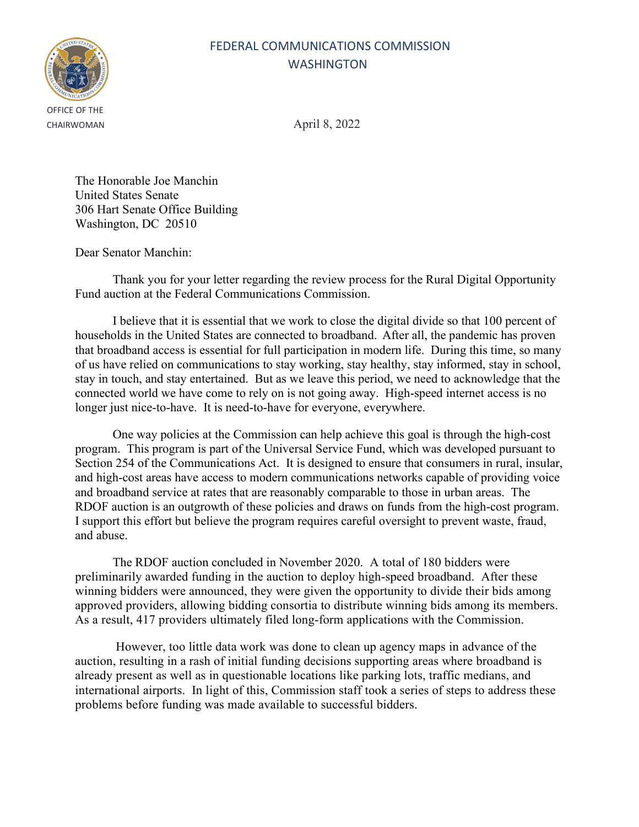# OFFICE OF THE

### FEDERAL COMMUNICATIONS COMMISSION WASHINGTON

CHAIRWOMAN April 8, 2022

The Honorable Joe Manchin United States Senate 306 Hart Senate Office Building Washington, DC 20510

Dear Senator Manchin:

Thank you for your letter regarding the review process for the Rural Digital Opportunity Fund auction at the Federal Communications Commission.

I believe that it is essential that we work to close the digital divide so that 100 percent of households in the United States are connected to broadband. After all, the pandemic has proven that broadband access is essential for full participation in modern life. During this time, so many of us have relied on communications to stay working, stay healthy, stay informed, stay in school, stay in touch, and stay entertained. But as we leave this period, we need to acknowledge that the connected world we have come to rely on is not going away. High-speed internet access is no longer just nice-to-have. It is need-to-have for everyone, everywhere.

One way policies at the Commission can help achieve this goal is through the high-cost program. This program is part of the Universal Service Fund, which was developed pursuant to Section 254 of the Communications Act. It is designed to ensure that consumers in rural, insular, and high-cost areas have access to modern communications networks capable of providing voice and broadband service at rates that are reasonably comparable to those in urban areas. The RDOF auction is an outgrowth of these policies and draws on funds from the high-cost program. I support this effort but believe the program requires careful oversight to prevent waste, fraud, and abuse.

The RDOF auction concluded in November 2020. A total of 180 bidders were preliminarily awarded funding in the auction to deploy high-speed broadband. After these winning bidders were announced, they were given the opportunity to divide their bids among approved providers, allowing bidding consortia to distribute winning bids among its members. As a result, 417 providers ultimately filed long-form applications with the Commission.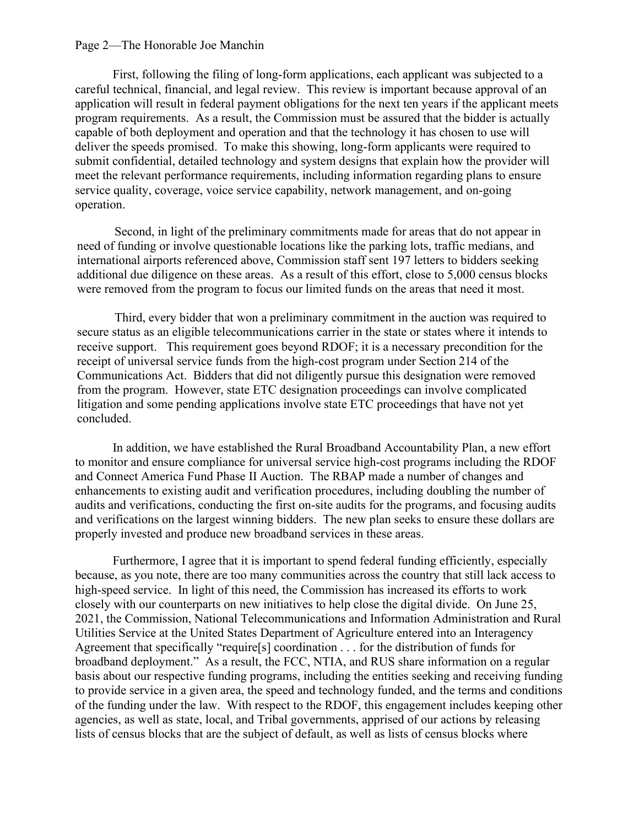#### Page 2—The Honorable Joe Manchin

First, following the filing of long-form applications, each applicant was subjected to a careful technical, financial, and legal review. This review is important because approval of an application will result in federal payment obligations for the next ten years if the applicant meets program requirements. As a result, the Commission must be assured that the bidder is actually capable of both deployment and operation and that the technology it has chosen to use will deliver the speeds promised. To make this showing, long-form applicants were required to submit confidential, detailed technology and system designs that explain how the provider will meet the relevant performance requirements, including information regarding plans to ensure service quality, coverage, voice service capability, network management, and on-going operation.

Second, in light of the preliminary commitments made for areas that do not appear in need of funding or involve questionable locations like the parking lots, traffic medians, and international airports referenced above, Commission staff sent 197 letters to bidders seeking additional due diligence on these areas. As a result of this effort, close to 5,000 census blocks were removed from the program to focus our limited funds on the areas that need it most.

Third, every bidder that won a preliminary commitment in the auction was required to secure status as an eligible telecommunications carrier in the state or states where it intends to receive support. This requirement goes beyond RDOF; it is a necessary precondition for the receipt of universal service funds from the high-cost program under Section 214 of the Communications Act. Bidders that did not diligently pursue this designation were removed from the program. However, state ETC designation proceedings can involve complicated litigation and some pending applications involve state ETC proceedings that have not yet concluded.

In addition, we have established the Rural Broadband Accountability Plan, a new effort to monitor and ensure compliance for universal service high-cost programs including the RDOF and Connect America Fund Phase II Auction. The RBAP made a number of changes and enhancements to existing audit and verification procedures, including doubling the number of audits and verifications, conducting the first on-site audits for the programs, and focusing audits and verifications on the largest winning bidders. The new plan seeks to ensure these dollars are properly invested and produce new broadband services in these areas.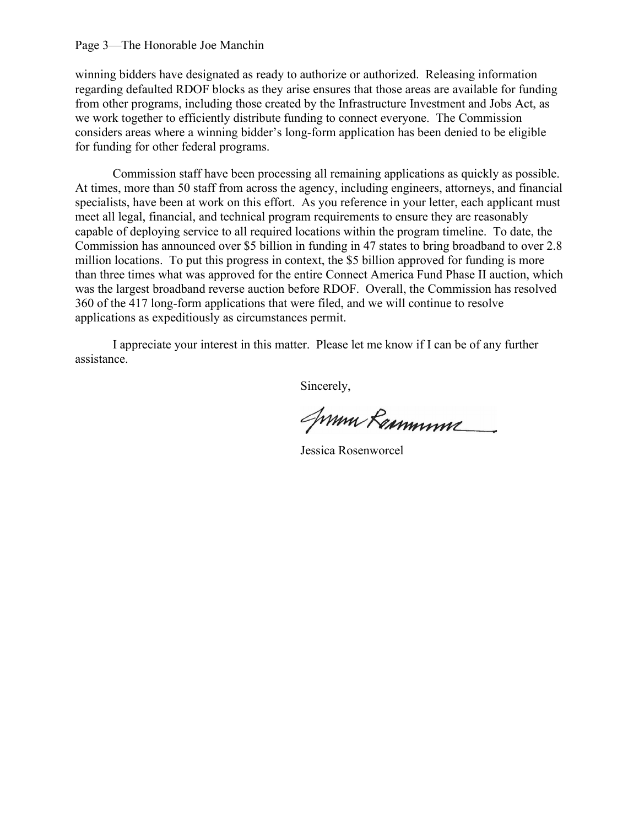#### Page 3—The Honorable Joe Manchin

winning bidders have designated as ready to authorize or authorized. Releasing information regarding defaulted RDOF blocks as they arise ensures that those areas are available for funding from other programs, including those created by the Infrastructure Investment and Jobs Act, as we work together to efficiently distribute funding to connect everyone. The Commission considers areas where a winning bidder's long-form application has been denied to be eligible for funding for other federal programs.

Commission staff have been processing all remaining applications as quickly as possible. At times, more than 50 staff from across the agency, including engineers, attorneys, and financial specialists, have been at work on this effort. As you reference in your letter, each applicant must meet all legal, financial, and technical program requirements to ensure they are reasonably capable of deploying service to all required locations within the program timeline. To date, the Commission has announced over \$5 billion in funding in 47 states to bring broadband to over 2.8 million locations. To put this progress in context, the \$5 billion approved for funding is more than three times what was approved for the entire Connect America Fund Phase II auction, which was the largest broadband reverse auction before RDOF. Overall, the Commission has resolved 360 of the 417 long-form applications that were filed, and we will continue to resolve applications as expeditiously as circumstances permit.

I appreciate your interest in this matter. Please let me know if I can be of any further assistance.

Jumm Remmum

Jessica Rosenworcel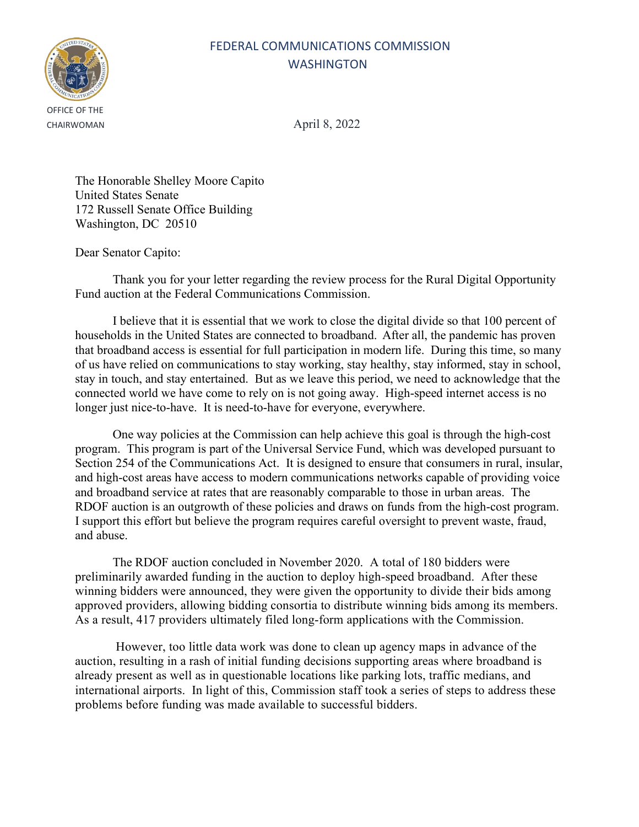## FEDERAL COMMUNICATIONS COMMISSION WASHINGTON



CHAIRWOMAN April 8, 2022

The Honorable Shelley Moore Capito United States Senate 172 Russell Senate Office Building Washington, DC 20510

Dear Senator Capito:

Thank you for your letter regarding the review process for the Rural Digital Opportunity Fund auction at the Federal Communications Commission.

I believe that it is essential that we work to close the digital divide so that 100 percent of households in the United States are connected to broadband. After all, the pandemic has proven that broadband access is essential for full participation in modern life. During this time, so many of us have relied on communications to stay working, stay healthy, stay informed, stay in school, stay in touch, and stay entertained. But as we leave this period, we need to acknowledge that the connected world we have come to rely on is not going away. High-speed internet access is no longer just nice-to-have. It is need-to-have for everyone, everywhere.

One way policies at the Commission can help achieve this goal is through the high-cost program. This program is part of the Universal Service Fund, which was developed pursuant to Section 254 of the Communications Act. It is designed to ensure that consumers in rural, insular, and high-cost areas have access to modern communications networks capable of providing voice and broadband service at rates that are reasonably comparable to those in urban areas. The RDOF auction is an outgrowth of these policies and draws on funds from the high-cost program. I support this effort but believe the program requires careful oversight to prevent waste, fraud, and abuse.

The RDOF auction concluded in November 2020. A total of 180 bidders were preliminarily awarded funding in the auction to deploy high-speed broadband. After these winning bidders were announced, they were given the opportunity to divide their bids among approved providers, allowing bidding consortia to distribute winning bids among its members. As a result, 417 providers ultimately filed long-form applications with the Commission.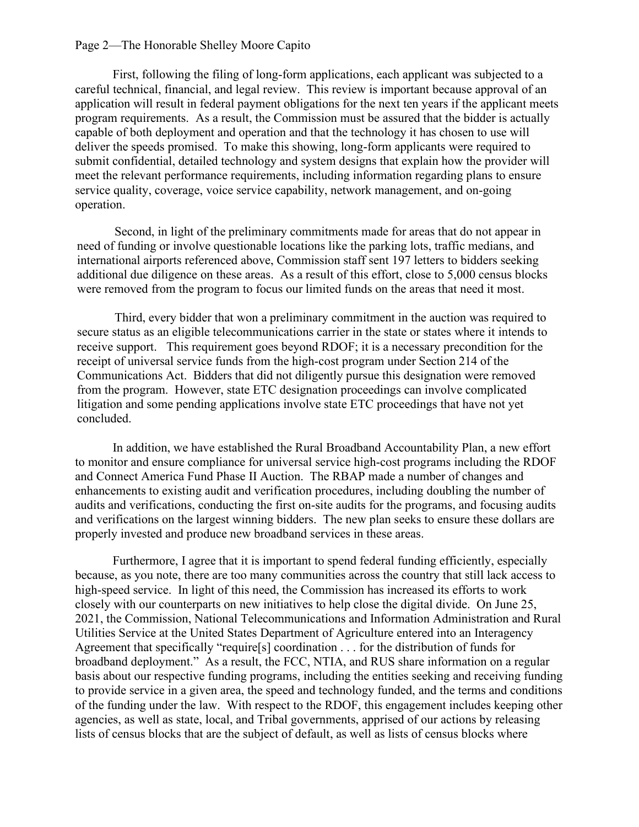#### Page 2—The Honorable Shelley Moore Capito

First, following the filing of long-form applications, each applicant was subjected to a careful technical, financial, and legal review. This review is important because approval of an application will result in federal payment obligations for the next ten years if the applicant meets program requirements. As a result, the Commission must be assured that the bidder is actually capable of both deployment and operation and that the technology it has chosen to use will deliver the speeds promised. To make this showing, long-form applicants were required to submit confidential, detailed technology and system designs that explain how the provider will meet the relevant performance requirements, including information regarding plans to ensure service quality, coverage, voice service capability, network management, and on-going operation.

Second, in light of the preliminary commitments made for areas that do not appear in need of funding or involve questionable locations like the parking lots, traffic medians, and international airports referenced above, Commission staff sent 197 letters to bidders seeking additional due diligence on these areas. As a result of this effort, close to 5,000 census blocks were removed from the program to focus our limited funds on the areas that need it most.

Third, every bidder that won a preliminary commitment in the auction was required to secure status as an eligible telecommunications carrier in the state or states where it intends to receive support. This requirement goes beyond RDOF; it is a necessary precondition for the receipt of universal service funds from the high-cost program under Section 214 of the Communications Act. Bidders that did not diligently pursue this designation were removed from the program. However, state ETC designation proceedings can involve complicated litigation and some pending applications involve state ETC proceedings that have not yet concluded.

In addition, we have established the Rural Broadband Accountability Plan, a new effort to monitor and ensure compliance for universal service high-cost programs including the RDOF and Connect America Fund Phase II Auction. The RBAP made a number of changes and enhancements to existing audit and verification procedures, including doubling the number of audits and verifications, conducting the first on-site audits for the programs, and focusing audits and verifications on the largest winning bidders. The new plan seeks to ensure these dollars are properly invested and produce new broadband services in these areas.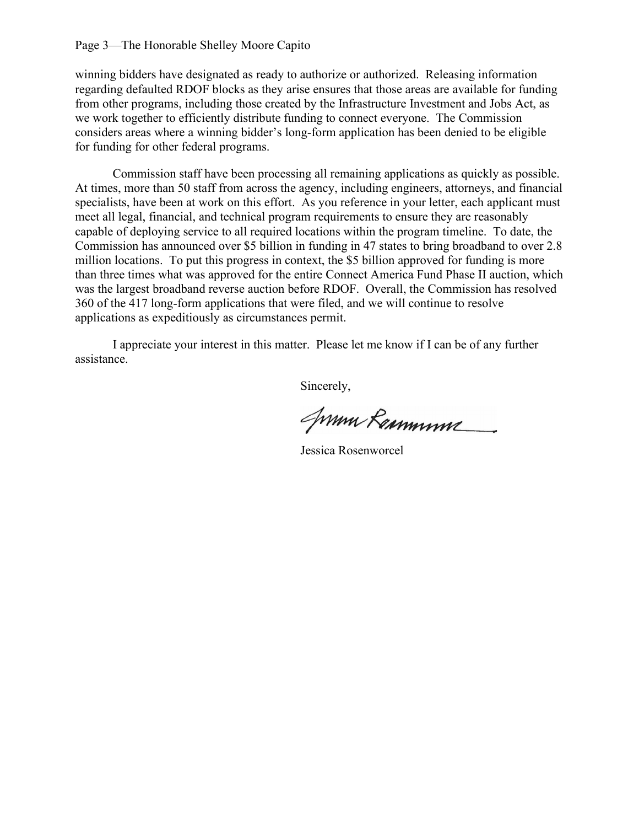#### Page 3—The Honorable Shelley Moore Capito

winning bidders have designated as ready to authorize or authorized. Releasing information regarding defaulted RDOF blocks as they arise ensures that those areas are available for funding from other programs, including those created by the Infrastructure Investment and Jobs Act, as we work together to efficiently distribute funding to connect everyone. The Commission considers areas where a winning bidder's long-form application has been denied to be eligible for funding for other federal programs.

Commission staff have been processing all remaining applications as quickly as possible. At times, more than 50 staff from across the agency, including engineers, attorneys, and financial specialists, have been at work on this effort. As you reference in your letter, each applicant must meet all legal, financial, and technical program requirements to ensure they are reasonably capable of deploying service to all required locations within the program timeline. To date, the Commission has announced over \$5 billion in funding in 47 states to bring broadband to over 2.8 million locations. To put this progress in context, the \$5 billion approved for funding is more than three times what was approved for the entire Connect America Fund Phase II auction, which was the largest broadband reverse auction before RDOF. Overall, the Commission has resolved 360 of the 417 long-form applications that were filed, and we will continue to resolve applications as expeditiously as circumstances permit.

I appreciate your interest in this matter. Please let me know if I can be of any further assistance.

Jumm Remmum

Jessica Rosenworcel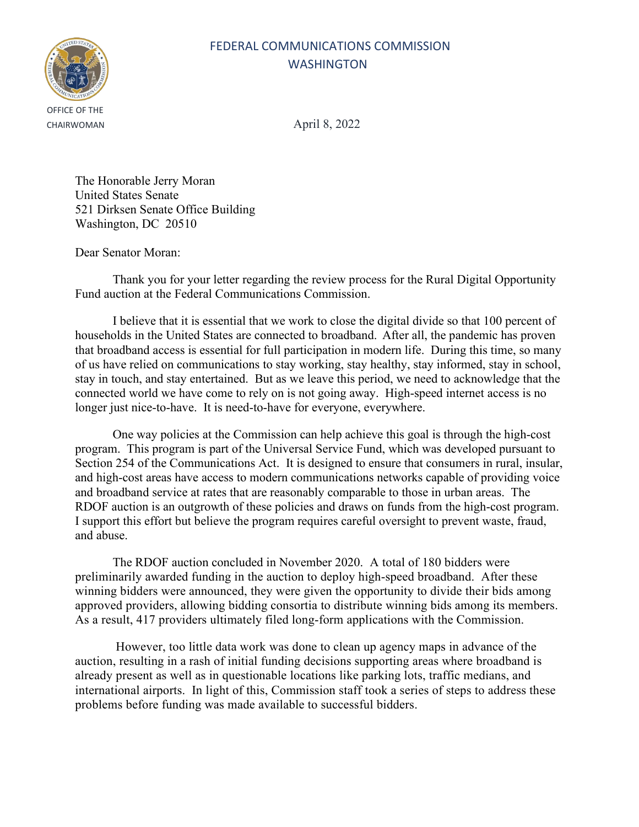# OFFICE OF THE

### FEDERAL COMMUNICATIONS COMMISSION WASHINGTON

CHAIRWOMAN April 8, 2022

The Honorable Jerry Moran United States Senate 521 Dirksen Senate Office Building Washington, DC 20510

Dear Senator Moran:

Thank you for your letter regarding the review process for the Rural Digital Opportunity Fund auction at the Federal Communications Commission.

I believe that it is essential that we work to close the digital divide so that 100 percent of households in the United States are connected to broadband. After all, the pandemic has proven that broadband access is essential for full participation in modern life. During this time, so many of us have relied on communications to stay working, stay healthy, stay informed, stay in school, stay in touch, and stay entertained. But as we leave this period, we need to acknowledge that the connected world we have come to rely on is not going away. High-speed internet access is no longer just nice-to-have. It is need-to-have for everyone, everywhere.

One way policies at the Commission can help achieve this goal is through the high-cost program. This program is part of the Universal Service Fund, which was developed pursuant to Section 254 of the Communications Act. It is designed to ensure that consumers in rural, insular, and high-cost areas have access to modern communications networks capable of providing voice and broadband service at rates that are reasonably comparable to those in urban areas. The RDOF auction is an outgrowth of these policies and draws on funds from the high-cost program. I support this effort but believe the program requires careful oversight to prevent waste, fraud, and abuse.

The RDOF auction concluded in November 2020. A total of 180 bidders were preliminarily awarded funding in the auction to deploy high-speed broadband. After these winning bidders were announced, they were given the opportunity to divide their bids among approved providers, allowing bidding consortia to distribute winning bids among its members. As a result, 417 providers ultimately filed long-form applications with the Commission.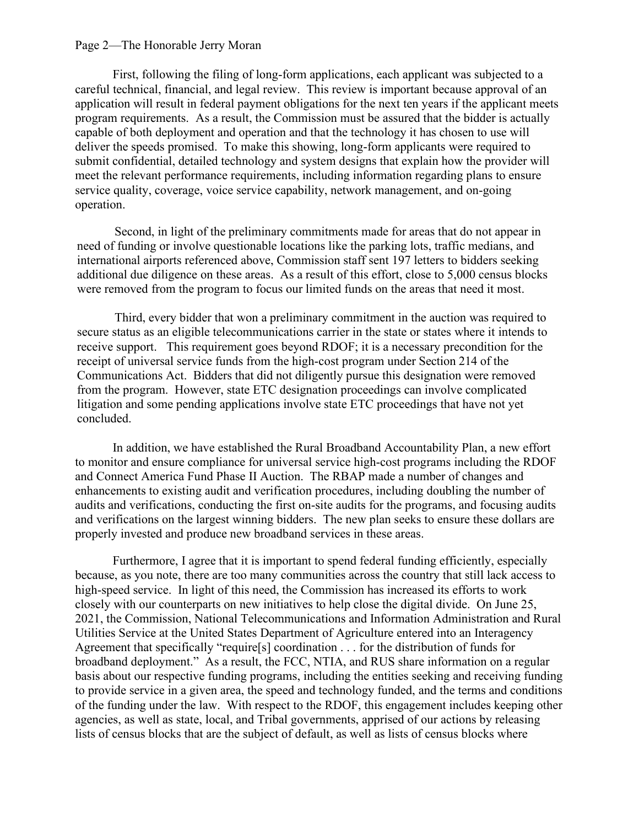#### Page 2—The Honorable Jerry Moran

First, following the filing of long-form applications, each applicant was subjected to a careful technical, financial, and legal review. This review is important because approval of an application will result in federal payment obligations for the next ten years if the applicant meets program requirements. As a result, the Commission must be assured that the bidder is actually capable of both deployment and operation and that the technology it has chosen to use will deliver the speeds promised. To make this showing, long-form applicants were required to submit confidential, detailed technology and system designs that explain how the provider will meet the relevant performance requirements, including information regarding plans to ensure service quality, coverage, voice service capability, network management, and on-going operation.

Second, in light of the preliminary commitments made for areas that do not appear in need of funding or involve questionable locations like the parking lots, traffic medians, and international airports referenced above, Commission staff sent 197 letters to bidders seeking additional due diligence on these areas. As a result of this effort, close to 5,000 census blocks were removed from the program to focus our limited funds on the areas that need it most.

Third, every bidder that won a preliminary commitment in the auction was required to secure status as an eligible telecommunications carrier in the state or states where it intends to receive support. This requirement goes beyond RDOF; it is a necessary precondition for the receipt of universal service funds from the high-cost program under Section 214 of the Communications Act. Bidders that did not diligently pursue this designation were removed from the program. However, state ETC designation proceedings can involve complicated litigation and some pending applications involve state ETC proceedings that have not yet concluded.

In addition, we have established the Rural Broadband Accountability Plan, a new effort to monitor and ensure compliance for universal service high-cost programs including the RDOF and Connect America Fund Phase II Auction. The RBAP made a number of changes and enhancements to existing audit and verification procedures, including doubling the number of audits and verifications, conducting the first on-site audits for the programs, and focusing audits and verifications on the largest winning bidders. The new plan seeks to ensure these dollars are properly invested and produce new broadband services in these areas.